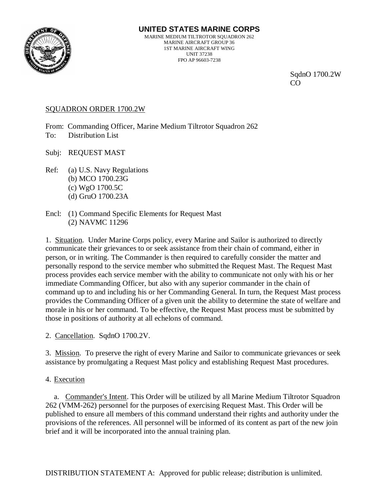

SqdnO 1700.2W **CO** 

# SQUADRON ORDER 1700.2W

From: Commanding Officer, Marine Medium Tiltrotor Squadron 262 To: Distribution List

Subj: REQUEST MAST

- Ref: (a) U.S. Navy Regulations (b) MCO 1700.23G (c) WgO 1700.5C (d) GruO 1700.23A
- Encl: (1) Command Specific Elements for Request Mast (2) NAVMC 11296

1. Situation. Under Marine Corps policy, every Marine and Sailor is authorized to directly communicate their grievances to or seek assistance from their chain of command, either in person, or in writing. The Commander is then required to carefully consider the matter and personally respond to the service member who submitted the Request Mast. The Request Mast process provides each service member with the ability to communicate not only with his or her immediate Commanding Officer, but also with any superior commander in the chain of command up to and including his or her Commanding General. In turn, the Request Mast process provides the Commanding Officer of a given unit the ability to determine the state of welfare and morale in his or her command. To be effective, the Request Mast process must be submitted by those in positions of authority at all echelons of command.

2. Cancellation. SqdnO 1700.2V.

3. Mission. To preserve the right of every Marine and Sailor to communicate grievances or seek assistance by promulgating a Request Mast policy and establishing Request Mast procedures.

4. Execution

a. Commander's Intent. This Order will be utilized by all Marine Medium Tiltrotor Squadron 262 (VMM-262) personnel for the purposes of exercising Request Mast. This Order will be published to ensure all members of this command understand their rights and authority under the provisions of the references. All personnel will be informed of its content as part of the new join brief and it will be incorporated into the annual training plan.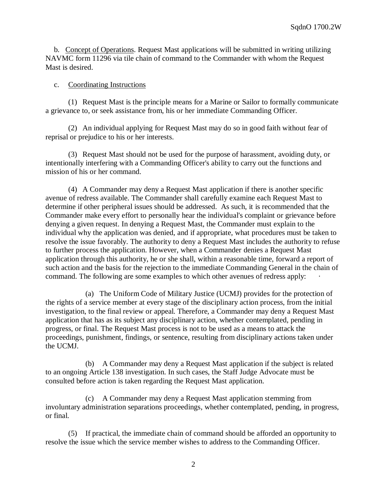b. Concept of Operations. Request Mast applications will be submitted in writing utilizing NAVMC form 11296 via tile chain of command to the Commander with whom the Request Mast is desired.

### c. Coordinating Instructions

(1) Request Mast is the principle means for a Marine or Sailor to formally communicate a grievance to, or seek assistance from, his or her immediate Commanding Officer.

(2) An individual applying for Request Mast may do so in good faith without fear of reprisal or prejudice to his or her interests.

(3) Request Mast should not be used for the purpose of harassment, avoiding duty, or intentionally interfering with a Commanding Officer's ability to carry out the functions and mission of his or her command.

(4) A Commander may deny a Request Mast application if there is another specific avenue of redress available. The Commander shall carefully examine each Request Mast to determine if other peripheral issues should be addressed. As such, it is recommended that the Commander make every effort to personally hear the individual's complaint or grievance before denying a given request. In denying a Request Mast, the Commander must explain to the individual why the application was denied, and if appropriate, what procedures must be taken to resolve the issue favorably. The authority to deny a Request Mast includes the authority to refuse to further process the application. However, when a Commander denies a Request Mast application through this authority, he or she shall, within a reasonable time, forward a report of such action and the basis for the rejection to the immediate Commanding General in the chain of command. The following are some examples to which other avenues of redress apply:

(a) The Uniform Code of Military Justice (UCMJ) provides for the protection of the rights of a service member at every stage of the disciplinary action process, from the initial investigation, to the final review or appeal. Therefore, a Commander may deny a Request Mast application that has as its subject any disciplinary action, whether contemplated, pending in progress, or final. The Request Mast process is not to be used as a means to attack the proceedings, punishment, findings, or sentence, resulting from disciplinary actions taken under the UCMJ.

(b) A Commander may deny a Request Mast application if the subject is related to an ongoing Article 138 investigation. In such cases, the Staff Judge Advocate must be consulted before action is taken regarding the Request Mast application.

(c) A Commander may deny a Request Mast application stemming from involuntary administration separations proceedings, whether contemplated, pending, in progress, or final.

(5) If practical, the immediate chain of command should be afforded an opportunity to resolve the issue which the service member wishes to address to the Commanding Officer.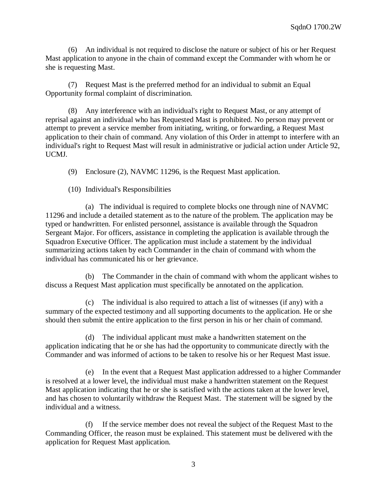(6) An individual is not required to disclose the nature or subject of his or her Request Mast application to anyone in the chain of command except the Commander with whom he or she is requesting Mast.

(7) Request Mast is the preferred method for an individual to submit an Equal Opportunity formal complaint of discrimination.

(8) Any interference with an individual's right to Request Mast, or any attempt of reprisal against an individual who has Requested Mast is prohibited. No person may prevent or attempt to prevent a service member from initiating, writing, or forwarding, a Request Mast application to their chain of command. Any violation of this Order in attempt to interfere with an individual's right to Request Mast will result in administrative or judicial action under Article 92, UCMJ.

(9) Enclosure (2), NAVMC 11296, is the Request Mast application.

(10) Individual's Responsibilities

(a) The individual is required to complete blocks one through nine of NAVMC 11296 and include a detailed statement as to the nature of the problem. The application may be typed or handwritten. For enlisted personnel, assistance is available through the Squadron Sergeant Major. For officers, assistance in completing the application is available through the Squadron Executive Officer. The application must include a statement by the individual summarizing actions taken by each Commander in the chain of command with whom the individual has communicated his or her grievance.

(b) The Commander in the chain of command with whom the applicant wishes to discuss a Request Mast application must specifically be annotated on the application.

(c) The individual is also required to attach a list of witnesses (if any) with a summary of the expected testimony and all supporting documents to the application. He or she should then submit the entire application to the first person in his or her chain of command.

(d) The individual applicant must make a handwritten statement on the application indicating that he or she has had the opportunity to communicate directly with the Commander and was informed of actions to be taken to resolve his or her Request Mast issue.

(e) In the event that a Request Mast application addressed to a higher Commander is resolved at a lower level, the individual must make a handwritten statement on the Request Mast application indicating that he or she is satisfied with the actions taken at the lower level, and has chosen to voluntarily withdraw the Request Mast. The statement will be signed by the individual and a witness.

(f) If the service member does not reveal the subject of the Request Mast to the Commanding Officer, the reason must be explained. This statement must be delivered with the application for Request Mast application.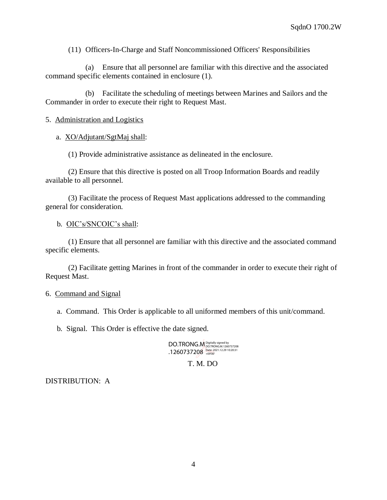(11) Officers-In-Charge and Staff Noncommissioned Officers' Responsibilities

(a) Ensure that all personnel are familiar with this directive and the associated command specific elements contained in enclosure (1).

(b) Facilitate the scheduling of meetings between Marines and Sailors and the Commander in order to execute their right to Request Mast.

## 5. Administration and Logistics

a. XO/Adjutant/SgtMaj shall:

(1) Provide administrative assistance as delineated in the enclosure.

(2) Ensure that this directive is posted on all Troop Information Boards and readily available to all personnel.

(3) Facilitate the process of Request Mast applications addressed to the commanding general for consideration.

#### b. OIC's/SNCOIC's shall:

(1) Ensure that all personnel are familiar with this directive and the associated command specific elements.

(2) Facilitate getting Marines in front of the commander in order to execute their right of Request Mast.

#### 6. Command and Signal

a. Command. This Order is applicable to all uniformed members of this unit/command.

b. Signal. This Order is effective the date signed.

DO.TRONG.M .1260737208 Digitally signed by DO.TRONG.M.1260737208 Date: 2021.12.29 10:20:31 +09'00'

T. M. DO

## DISTRIBUTION: A